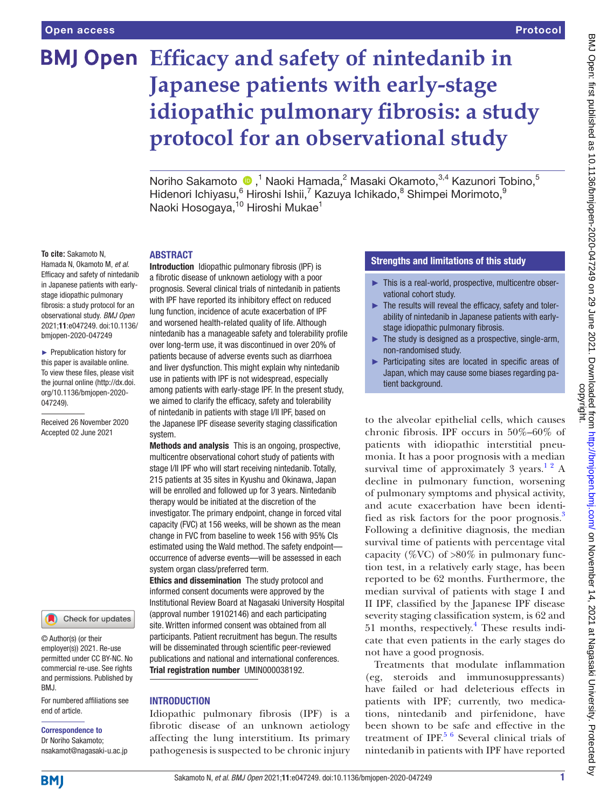# **BMJ Open** Efficacy and safety of nintedanib in **Japanese patients with early-stage idiopathic pulmonary fibrosis: a study protocol for an observational study**

Noriho Sakamoto  $\bullet$  ,<sup>1</sup> Naoki Hamada,<sup>2</sup> Masaki Okamoto,<sup>3,4</sup> Kazunori Tobino,<sup>5</sup> Hidenori Ichiyasu, <sup>6</sup> Hiroshi Ishii, <sup>7</sup> Kazuya Ichikado, <sup>8</sup> Shimpei Morimoto, <sup>9</sup> Naoki Hosogaya,<sup>10</sup> Hiroshi Mukae<sup>1</sup>

#### **ARSTRACT**

**To cite:** Sakamoto N, Hamada N, Okamoto M, *et al*. Efficacy and safety of nintedanib in Japanese patients with earlystage idiopathic pulmonary fibrosis: a study protocol for an observational study. *BMJ Open* 2021;11:e047249. doi:10.1136/ bmjopen-2020-047249

► Prepublication history for this paper is available online. To view these files, please visit the journal online [\(http://dx.doi.](http://dx.doi.org/10.1136/bmjopen-2020-047249) [org/10.1136/bmjopen-2020-](http://dx.doi.org/10.1136/bmjopen-2020-047249) [047249\)](http://dx.doi.org/10.1136/bmjopen-2020-047249).

Received 26 November 2020 Accepted 02 June 2021



© Author(s) (or their employer(s)) 2021. Re-use permitted under CC BY-NC. No commercial re-use. See rights and permissions. Published by BMJ.

For numbered affiliations see end of article.

### Correspondence to

Dr Noriho Sakamoto; nsakamot@nagasaki-u.ac.jp

Introduction Idiopathic pulmonary fibrosis (IPF) is a fibrotic disease of unknown aetiology with a poor prognosis. Several clinical trials of nintedanib in patients with IPF have reported its inhibitory effect on reduced lung function, incidence of acute exacerbation of IPF and worsened health-related quality of life. Although nintedanib has a manageable safety and tolerability profile over long-term use, it was discontinued in over 20% of patients because of adverse events such as diarrhoea and liver dysfunction. This might explain why nintedanib use in patients with IPF is not widespread, especially among patients with early-stage IPF. In the present study, we aimed to clarify the efficacy, safety and tolerability of nintedanib in patients with stage I/II IPF, based on the Japanese IPF disease severity staging classification system.

Methods and analysis This is an ongoing, prospective, multicentre observational cohort study of patients with stage I/II IPF who will start receiving nintedanib. Totally, 215 patients at 35 sites in Kyushu and Okinawa, Japan will be enrolled and followed up for 3 years. Nintedanib therapy would be initiated at the discretion of the investigator. The primary endpoint, change in forced vital capacity (FVC) at 156 weeks, will be shown as the mean change in FVC from baseline to week 156 with 95% CIs estimated using the Wald method. The safety endpoint occurrence of adverse events—will be assessed in each system organ class/preferred term.

Ethics and dissemination The study protocol and informed consent documents were approved by the Institutional Review Board at Nagasaki University Hospital (approval number 19102146) and each participating site. Written informed consent was obtained from all participants. Patient recruitment has begun. The results will be disseminated through scientific peer-reviewed publications and national and international conferences. Trial registration number UMIN000038192.

#### **INTRODUCTION**

Idiopathic pulmonary fibrosis (IPF) is a fibrotic disease of an unknown aetiology affecting the lung interstitium. Its primary pathogenesis is suspected to be chronic injury

## Strengths and limitations of this study

- ► This is a real-world, prospective, multicentre observational cohort study.
- ► The results will reveal the efficacy, safety and tolerability of nintedanib in Japanese patients with earlystage idiopathic pulmonary fibrosis.
- $\blacktriangleright$  The study is designed as a prospective, single-arm, non-randomised study.
- ► Participating sites are located in specific areas of Japan, which may cause some biases regarding patient background.

to the alveolar epithelial cells, which causes chronic fibrosis. IPF occurs in 50%–60% of patients with idiopathic interstitial pneumonia. It has a poor prognosis with a median survival time of approximately 3 years.<sup>1 2</sup> A decline in pulmonary function, worsening of pulmonary symptoms and physical activity, and acute exacerbation have been identified as risk factors for the poor prognosis[.3](#page-4-1) Following a definitive diagnosis, the median survival time of patients with percentage vital capacity (%VC) of  $>80\%$  in pulmonary function test, in a relatively early stage, has been reported to be 62 months. Furthermore, the median survival of patients with stage I and II IPF, classified by the Japanese IPF disease severity staging classification system, is 62 and 51 months, respectively.[4](#page-4-2) These results indicate that even patients in the early stages do not have a good prognosis.

Treatments that modulate inflammation (eg, steroids and immunosuppressants) have failed or had deleterious effects in patients with IPF; currently, two medications, nintedanib and pirfenidone, have been shown to be safe and effective in the treatment of IPF. $5/6$  Several clinical trials of nintedanib in patients with IPF have reported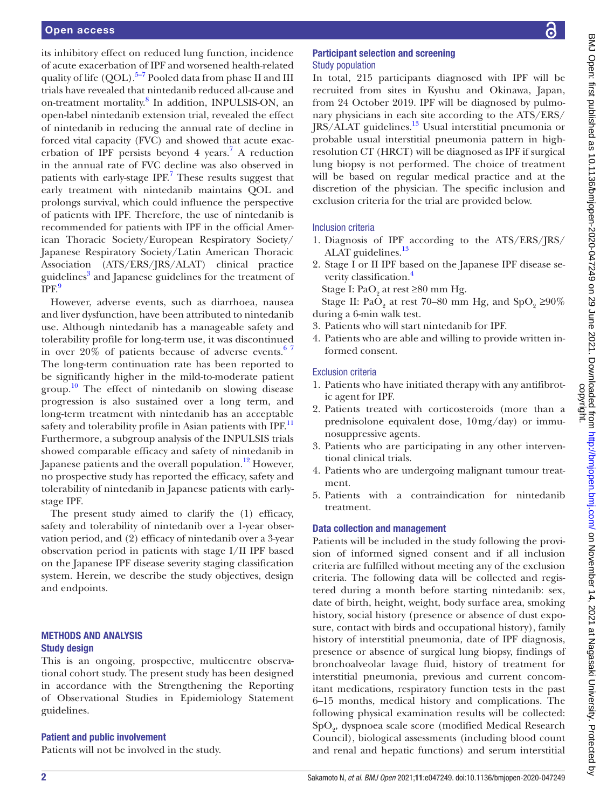its inhibitory effect on reduced lung function, incidence of acute exacerbation of IPF and worsened health-related quality of life  $(OOL)$ .<sup>5–7</sup> Pooled data from phase II and III trials have revealed that nintedanib reduced all-cause and on-treatment mortality.<sup>[8](#page-4-4)</sup> In addition, INPULSIS-ON, an open-label nintedanib extension trial, revealed the effect of nintedanib in reducing the annual rate of decline in forced vital capacity (FVC) and showed that acute exacerbation of IPF persists beyond  $4$  years.<sup>7</sup> A reduction in the annual rate of FVC decline was also observed in patients with early-stage IPF.<sup>[7](#page-4-5)</sup> These results suggest that early treatment with nintedanib maintains QOL and prolongs survival, which could influence the perspective of patients with IPF. Therefore, the use of nintedanib is recommended for patients with IPF in the official American Thoracic Society/European Respiratory Society/ Japanese Respiratory Society/Latin American Thoracic Association (ATS/ERS/JRS/ALAT) clinical practice guidelines<sup>[3](#page-4-1)</sup> and Japanese guidelines for the treatment of  $IPF<sup>9</sup>$  $IPF<sup>9</sup>$  $IPF<sup>9</sup>$ 

However, adverse events, such as diarrhoea, nausea and liver dysfunction, have been attributed to nintedanib use. Although nintedanib has a manageable safety and tolerability profile for long-term use, it was discontinued in over  $20\%$  of patients because of adverse events.<sup>67</sup> The long-term continuation rate has been reported to be significantly higher in the mild-to-moderate patient group.<sup>10</sup> The effect of nintedanib on slowing disease progression is also sustained over a long term, and long-term treatment with nintedanib has an acceptable safety and tolerability profile in Asian patients with IPF.<sup>[11](#page-4-9)</sup> Furthermore, a subgroup analysis of the INPULSIS trials showed comparable efficacy and safety of nintedanib in Japanese patients and the overall population.<sup>[12](#page-4-10)</sup> However, no prospective study has reported the efficacy, safety and tolerability of nintedanib in Japanese patients with earlystage IPF.

The present study aimed to clarify the (1) efficacy, safety and tolerability of nintedanib over a 1-year observation period, and (2) efficacy of nintedanib over a 3-year observation period in patients with stage I/II IPF based on the Japanese IPF disease severity staging classification system. Herein, we describe the study objectives, design and endpoints.

# METHODS AND ANALYSIS Study design

This is an ongoing, prospective, multicentre observational cohort study. The present study has been designed in accordance with the Strengthening the Reporting of Observational Studies in Epidemiology Statement guidelines.

## Patient and public involvement

Patients will not be involved in the study.

## Participant selection and screening Study population

In total, 215 participants diagnosed with IPF will be recruited from sites in Kyushu and Okinawa, Japan, from 24 October 2019. IPF will be diagnosed by pulmonary physicians in each site according to the ATS/ERS/ JRS/ALAT guidelines.[13](#page-4-11) Usual interstitial pneumonia or probable usual interstitial pneumonia pattern in highresolution CT (HRCT) will be diagnosed as IPF if surgical lung biopsy is not performed. The choice of treatment will be based on regular medical practice and at the discretion of the physician. The specific inclusion and exclusion criteria for the trial are provided below.

# Inclusion criteria

- 1. Diagnosis of IPF according to the ATS/ERS/JRS/ ALAT guidelines.<sup>13</sup>
- 2. Stage I or II IPF based on the Japanese IPF disease se-verity classification.<sup>[4](#page-4-2)</sup>
	- Stage I:  $PaO_2$  at rest ≥80 mm Hg.
- Stage II: Pa $O_2$  at rest 70–80 mm Hg, and Sp $O_2 \ge 90\%$ during a 6-min walk test.
- 3. Patients who will start nintedanib for IPF.
- 4. Patients who are able and willing to provide written informed consent.

# Exclusion criteria

- 1. Patients who have initiated therapy with any antifibrotic agent for IPF.
- 2. Patients treated with corticosteroids (more than a prednisolone equivalent dose, 10mg/day) or immunosuppressive agents.
- 3. Patients who are participating in any other interventional clinical trials.
- 4. Patients who are undergoing malignant tumour treatment.
- 5. Patients with a contraindication for nintedanib treatment.

# Data collection and management

Patients will be included in the study following the provision of informed signed consent and if all inclusion criteria are fulfilled without meeting any of the exclusion criteria. The following data will be collected and registered during a month before starting nintedanib: sex, date of birth, height, weight, body surface area, smoking history, social history (presence or absence of dust exposure, contact with birds and occupational history), family history of interstitial pneumonia, date of IPF diagnosis, presence or absence of surgical lung biopsy, findings of bronchoalveolar lavage fluid, history of treatment for interstitial pneumonia, previous and current concomitant medications, respiratory function tests in the past 6–15 months, medical history and complications. The following physical examination results will be collected:  $\mathrm{SpO}_2$ dyspnoea scale score (modified Medical Research Council), biological assessments (including blood count and renal and hepatic functions) and serum interstitial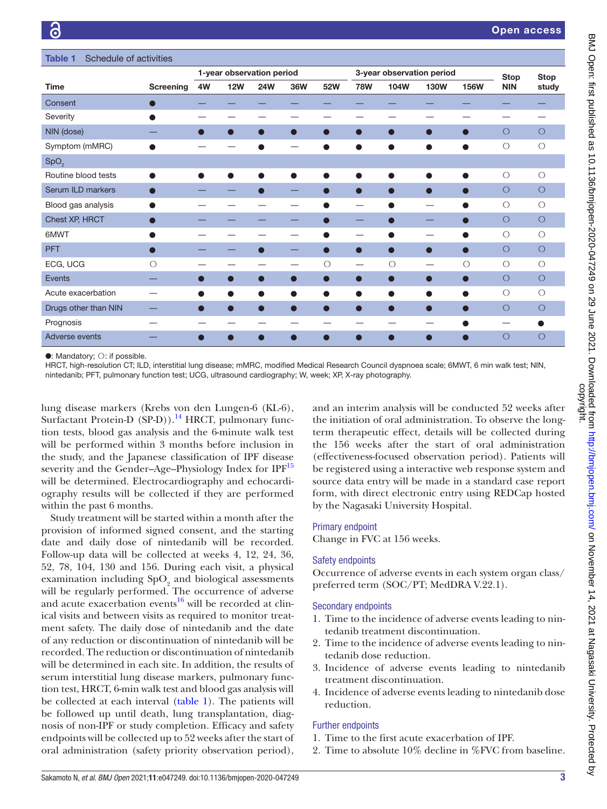<span id="page-2-0"></span>

| Schedule of activities<br><b>Table 1</b> |           |                           |            |            |                |            |                           |                |             |                |             |             |
|------------------------------------------|-----------|---------------------------|------------|------------|----------------|------------|---------------------------|----------------|-------------|----------------|-------------|-------------|
|                                          |           | 1-year observation period |            |            |                |            | 3-year observation period |                |             |                | <b>Stop</b> | <b>Stop</b> |
| <b>Time</b>                              | Screening | 4W                        | <b>12W</b> | <b>24W</b> | 36W            | 52W        | <b>78W</b>                | 104W           | <b>130W</b> | <b>156W</b>    | <b>NIN</b>  | study       |
| Consent                                  |           |                           |            |            |                |            |                           |                |             |                |             |             |
| Severity                                 |           |                           |            |            |                |            |                           |                |             |                |             |             |
| NIN (dose)                               |           | $\blacksquare$            | $\bullet$  | $\bullet$  | $\bullet$      | $\bullet$  | $\bullet$                 | $\bullet$      | $\bullet$   | $\bullet$      | О           | $\circ$     |
| Symptom (mMRC)                           |           |                           |            |            |                |            |                           |                |             |                | $\circ$     | $\bigcirc$  |
| SpO <sub>2</sub>                         |           |                           |            |            |                |            |                           |                |             |                |             |             |
| Routine blood tests                      |           |                           |            | ●          |                |            | ●                         | ●              | $\bullet$   |                | $\circ$     | $\bigcirc$  |
| Serum ILD markers                        |           |                           |            | $\bullet$  | —              |            | $\bullet$                 | $\blacksquare$ | $\bullet$   | $\blacksquare$ | О           | $\circ$     |
| Blood gas analysis                       |           |                           |            |            |                |            |                           |                |             |                | $\circ$     | $\bigcirc$  |
| Chest XP, HRCT                           |           |                           |            |            |                |            |                           |                |             |                | $\circ$     | $\circ$     |
| 6MWT                                     |           |                           |            |            |                |            |                           |                |             |                | $\circ$     | $\circ$     |
| <b>PFT</b>                               |           |                           |            | ●          | _              | $\bullet$  | $\bullet$                 | ●              | $\bullet$   | $\bullet$      | $\circ$     | $\circ$     |
| ECG, UCG                                 | $\circ$   |                           |            |            |                | $\bigcirc$ |                           | $\circ$        |             | $\circ$        | $\bigcirc$  | $\bigcirc$  |
| <b>Events</b>                            |           | $\blacksquare$            | $\bigcirc$ | $\bullet$  | $\blacksquare$ | $\bullet$  | $\bullet$                 | $\blacksquare$ | $\bullet$   | $\bullet$      | $\circ$     | $\circ$     |
| Acute exacerbation                       |           |                           |            | ●          |                | $\bullet$  | $\bullet$                 |                |             |                | $\circ$     | $\bigcirc$  |
| Drugs other than NIN                     |           |                           |            | ∩          |                | $\bullet$  | $\bullet$                 | 0              | $\bullet$   | $\bullet$      | $\circ$     | $\circ$     |
| Prognosis                                |           |                           |            |            |                |            |                           |                |             |                |             |             |
| Adverse events                           |           |                           |            |            |                |            |                           |                |             |                | O           | $\circ$     |

●: Mandatory; ○: if possible.

HRCT, high-resolution CT; ILD, interstitial lung disease; mMRC, modified Medical Research Council dyspnoea scale; 6MWT, 6 min walk test; NIN, nintedanib; PFT, pulmonary function test; UCG, ultrasound cardiography; W, week; XP, X-ray photography.

lung disease markers (Krebs von den Lungen-6 (KL-6), Surfactant Protein-D  $(SPD)$ ).<sup>14</sup> HRCT, pulmonary function tests, blood gas analysis and the 6-minute walk test will be performed within 3 months before inclusion in the study, and the Japanese classification of IPF disease severity and the Gender–Age–Physiology Index for IPF<sup>15</sup> will be determined. Electrocardiography and echocardiography results will be collected if they are performed within the past 6 months.

Study treatment will be started within a month after the provision of informed signed consent, and the starting date and daily dose of nintedanib will be recorded. Follow-up data will be collected at weeks 4, 12, 24, 36, 52, 78, 104, 130 and 156. During each visit, a physical examination including  $\text{SpO}_2$  and biological assessments will be regularly performed. The occurrence of adverse and acute exacerbation events $16$  will be recorded at clinical visits and between visits as required to monitor treatment safety. The daily dose of nintedanib and the date of any reduction or discontinuation of nintedanib will be recorded. The reduction or discontinuation of nintedanib will be determined in each site. In addition, the results of serum interstitial lung disease markers, pulmonary function test, HRCT, 6-min walk test and blood gas analysis will be collected at each interval ([table](#page-2-0) 1). The patients will be followed up until death, lung transplantation, diagnosis of non-IPF or study completion. Efficacy and safety endpoints will be collected up to 52 weeks after the start of oral administration (safety priority observation period),

and an interim analysis will be conducted 52 weeks after the initiation of oral administration. To observe the longterm therapeutic effect, details will be collected during the 156 weeks after the start of oral administration (effectiveness-focused observation period). Patients will be registered using a interactive web response system and source data entry will be made in a standard case report form, with direct electronic entry using REDCap hosted by the Nagasaki University Hospital.

## Primary endpoint

Change in FVC at 156 weeks.

#### Safety endpoints

Occurrence of adverse events in each system organ class/ preferred term (SOC/PT; MedDRA V.22.1).

## Secondary endpoints

- 1. Time to the incidence of adverse events leading to nintedanib treatment discontinuation.
- 2. Time to the incidence of adverse events leading to nintedanib dose reduction.
- 3. Incidence of adverse events leading to nintedanib treatment discontinuation.
- 4. Incidence of adverse events leading to nintedanib dose reduction.

## Further endpoints

- 1. Time to the first acute exacerbation of IPF.
- 2. Time to absolute 10% decline in %FVC from baseline.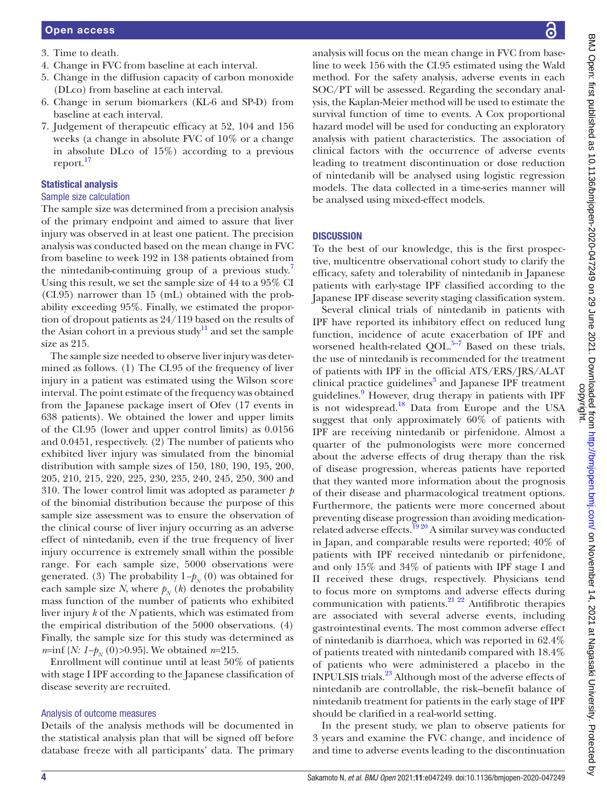- 3. Time to death.
- 4. Change in FVC from baseline at each interval.
- 5. Change in the diffusion capacity of carbon monoxide (DLco) from baseline at each interval.
- 6. Change in serum biomarkers (KL-6 and SP-D) from baseline at each interval.
- 7. Judgement of therapeutic efficacy at 52, 104 and 156 weeks (a change in absolute FVC of 10% or a change in absolute DLco of 15%) according to a previous report.[17](#page-4-15)

# Statistical analysis

## Sample size calculation

The sample size was determined from a precision analysis of the primary endpoint and aimed to assure that liver injury was observed in at least one patient. The precision analysis was conducted based on the mean change in FVC from baseline to week 192 in 138 patients obtained from the nintedanib-continuing group of a previous study.<sup>[7](#page-4-5)</sup> Using this result, we set the sample size of 44 to a 95% CI (CI.95) narrower than 15 (mL) obtained with the probability exceeding 95%. Finally, we estimated the proportion of dropout patients as 24/119 based on the results of the Asian cohort in a previous study<sup>11</sup> and set the sample size as 215.

The sample size needed to observe liver injury was determined as follows. (1) The CI.95 of the frequency of liver injury in a patient was estimated using the Wilson score interval. The point estimate of the frequency was obtained from the Japanese package insert of Ofev (17 events in 638 patients). We obtained the lower and upper limits of the CI.95 (lower and upper control limits) as 0.0156 and 0.0451, respectively. (2) The number of patients who exhibited liver injury was simulated from the binomial distribution with sample sizes of 150, 180, 190, 195, 200, 205, 210, 215, 220, 225, 230, 235, 240, 245, 250, 300 and 310. The lower control limit was adopted as parameter *p* of the binomial distribution because the purpose of this sample size assessment was to ensure the observation of the clinical course of liver injury occurring as an adverse effect of nintedanib, even if the true frequency of liver injury occurrence is extremely small within the possible range. For each sample size, 5000 observations were generated. (3) The probability  $1-p_N(0)$  was obtained for each sample size *N*, where  $p_N(k)$  denotes the probability mass function of the number of patients who exhibited liver injury *k* of the *N* patients, which was estimated from the empirical distribution of the 5000 observations. (4) Finally, the sample size for this study was determined as *n*=inf {*N: 1−p<sub>N</sub>* (0)>0.95}. We obtained *n*=215.

Enrollment will continue until at least 50% of patients with stage I IPF according to the Japanese classification of disease severity are recruited.

# Analysis of outcome measures

Details of the analysis methods will be documented in the statistical analysis plan that will be signed off before database freeze with all participants' data. The primary

analysis will focus on the mean change in FVC from baseline to week 156 with the CI.95 estimated using the Wald method. For the safety analysis, adverse events in each SOC/PT will be assessed. Regarding the secondary analysis, the Kaplan-Meier method will be used to estimate the survival function of time to events. A Cox proportional hazard model will be used for conducting an exploratory analysis with patient characteristics. The association of clinical factors with the occurrence of adverse events leading to treatment discontinuation or dose reduction of nintedanib will be analysed using logistic regression models. The data collected in a time-series manner will be analysed using mixed-effect models.

# **DISCUSSION**

To the best of our knowledge, this is the first prospective, multicentre observational cohort study to clarify the efficacy, safety and tolerability of nintedanib in Japanese patients with early-stage IPF classified according to the Japanese IPF disease severity staging classification system.

Several clinical trials of nintedanib in patients with IPF have reported its inhibitory effect on reduced lung function, incidence of acute exacerbation of IPF and worsened health-related QOL. $5-7$  Based on these trials, the use of nintedanib is recommended for the treatment of patients with IPF in the official ATS/ERS/JRS/ALAT clinical practice guidelines<sup>[3](#page-4-1)</sup> and Japanese IPF treatment guidelines.<sup>9</sup> However, drug therapy in patients with IPF is not widespread.<sup>18</sup> Data from Europe and the USA suggest that only approximately 60% of patients with IPF are receiving nintedanib or pirfenidone. Almost a quarter of the pulmonologists were more concerned about the adverse effects of drug therapy than the risk of disease progression, whereas patients have reported that they wanted more information about the prognosis of their disease and pharmacological treatment options. Furthermore, the patients were more concerned about preventing disease progression than avoiding medicationrelated adverse effects.<sup>1920</sup> A similar survey was conducted in Japan, and comparable results were reported; 40% of patients with IPF received nintedanib or pirfenidone, and only 15% and 34% of patients with IPF stage I and II received these drugs, respectively. Physicians tend to focus more on symptoms and adverse effects during communication with patients.<sup>21 22</sup> Antifibrotic therapies</sup> are associated with several adverse events, including gastrointestinal events. The most common adverse effect of nintedanib is diarrhoea, which was reported in 62.4% of patients treated with nintedanib compared with 18.4% of patients who were administered a placebo in the INPULSIS trials.[23](#page-4-19) Although most of the adverse effects of nintedanib are controllable, the risk–benefit balance of nintedanib treatment for patients in the early stage of IPF should be clarified in a real-world setting.

In the present study, we plan to observe patients for 3 years and examine the FVC change, and incidence of and time to adverse events leading to the discontinuation